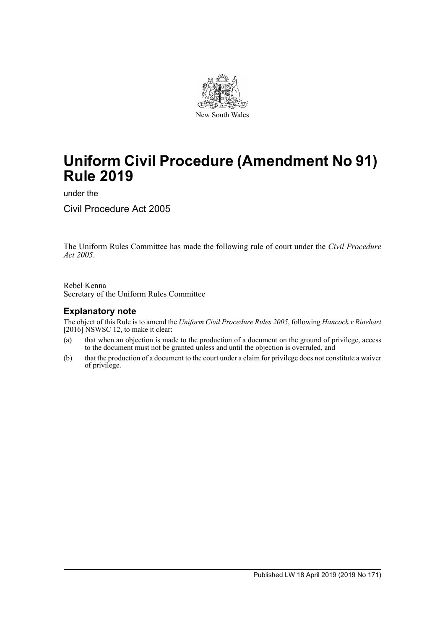

# **Uniform Civil Procedure (Amendment No 91) Rule 2019**

under the

Civil Procedure Act 2005

The Uniform Rules Committee has made the following rule of court under the *Civil Procedure Act 2005*.

Rebel Kenna Secretary of the Uniform Rules Committee

### **Explanatory note**

The object of this Rule is to amend the *Uniform Civil Procedure Rules 2005*, following *Hancock v Rinehart* [2016] NSWSC 12, to make it clear:

- (a) that when an objection is made to the production of a document on the ground of privilege, access to the document must not be granted unless and until the objection is overruled, and
- (b) that the production of a document to the court under a claim for privilege does not constitute a waiver of privilege.